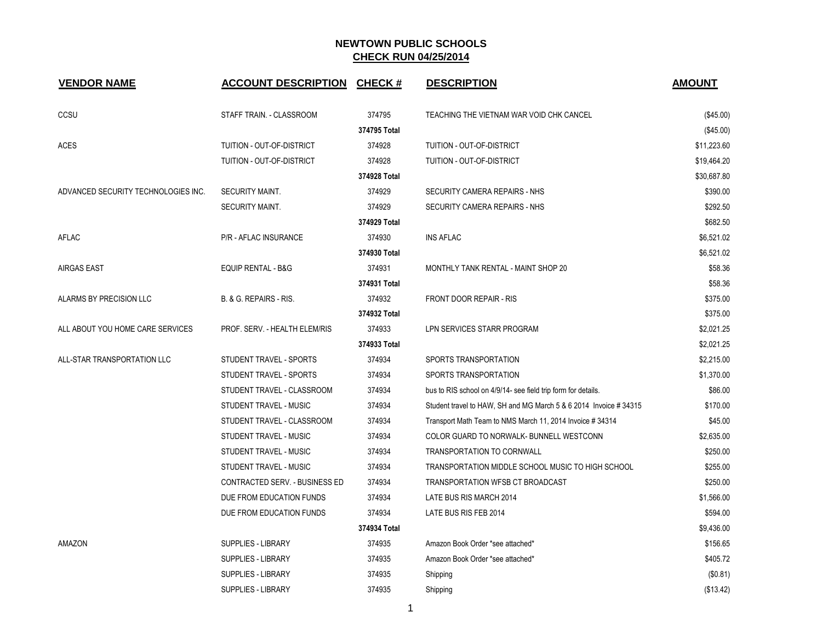| <b>VENDOR NAME</b>                  | <b>ACCOUNT DESCRIPTION</b>     | <b>CHECK#</b> | <b>DESCRIPTION</b>                                                | <b>AMOUNT</b> |
|-------------------------------------|--------------------------------|---------------|-------------------------------------------------------------------|---------------|
| CCSU                                | STAFF TRAIN. - CLASSROOM       | 374795        | TEACHING THE VIETNAM WAR VOID CHK CANCEL                          | $(\$45.00)$   |
|                                     |                                | 374795 Total  |                                                                   | $(\$45.00)$   |
| <b>ACES</b>                         | TUITION - OUT-OF-DISTRICT      | 374928        | TUITION - OUT-OF-DISTRICT                                         | \$11,223.60   |
|                                     | TUITION - OUT-OF-DISTRICT      | 374928        | TUITION - OUT-OF-DISTRICT                                         | \$19,464.20   |
|                                     |                                | 374928 Total  |                                                                   | \$30,687.80   |
| ADVANCED SECURITY TECHNOLOGIES INC. | <b>SECURITY MAINT.</b>         | 374929        | SECURITY CAMERA REPAIRS - NHS                                     | \$390.00      |
|                                     | <b>SECURITY MAINT.</b>         | 374929        | SECURITY CAMERA REPAIRS - NHS                                     | \$292.50      |
|                                     |                                | 374929 Total  |                                                                   | \$682.50      |
| AFLAC                               | P/R - AFLAC INSURANCE          | 374930        | <b>INS AFLAC</b>                                                  | \$6,521.02    |
|                                     |                                | 374930 Total  |                                                                   | \$6,521.02    |
| <b>AIRGAS EAST</b>                  | EQUIP RENTAL - B&G             | 374931        | MONTHLY TANK RENTAL - MAINT SHOP 20                               | \$58.36       |
|                                     |                                | 374931 Total  |                                                                   | \$58.36       |
| ALARMS BY PRECISION LLC             | B. & G. REPAIRS - RIS.         | 374932        | FRONT DOOR REPAIR - RIS                                           | \$375.00      |
|                                     |                                | 374932 Total  |                                                                   | \$375.00      |
| ALL ABOUT YOU HOME CARE SERVICES    | PROF. SERV. - HEALTH ELEM/RIS  | 374933        | LPN SERVICES STARR PROGRAM                                        | \$2,021.25    |
|                                     |                                | 374933 Total  |                                                                   | \$2,021.25    |
| ALL-STAR TRANSPORTATION LLC         | STUDENT TRAVEL - SPORTS        | 374934        | SPORTS TRANSPORTATION                                             | \$2,215.00    |
|                                     | STUDENT TRAVEL - SPORTS        | 374934        | SPORTS TRANSPORTATION                                             | \$1,370.00    |
|                                     | STUDENT TRAVEL - CLASSROOM     | 374934        | bus to RIS school on 4/9/14- see field trip form for details.     | \$86.00       |
|                                     | STUDENT TRAVEL - MUSIC         | 374934        | Student travel to HAW, SH and MG March 5 & 6 2014 Invoice # 34315 | \$170.00      |
|                                     | STUDENT TRAVEL - CLASSROOM     | 374934        | Transport Math Team to NMS March 11, 2014 Invoice #34314          | \$45.00       |
|                                     | STUDENT TRAVEL - MUSIC         | 374934        | COLOR GUARD TO NORWALK- BUNNELL WESTCONN                          | \$2,635.00    |
|                                     | STUDENT TRAVEL - MUSIC         | 374934        | TRANSPORTATION TO CORNWALL                                        | \$250.00      |
|                                     | STUDENT TRAVEL - MUSIC         | 374934        | TRANSPORTATION MIDDLE SCHOOL MUSIC TO HIGH SCHOOL                 | \$255.00      |
|                                     | CONTRACTED SERV. - BUSINESS ED | 374934        | TRANSPORTATION WFSB CT BROADCAST                                  | \$250.00      |
|                                     | DUE FROM EDUCATION FUNDS       | 374934        | LATE BUS RIS MARCH 2014                                           | \$1,566.00    |
|                                     | DUE FROM EDUCATION FUNDS       | 374934        | LATE BUS RIS FEB 2014                                             | \$594.00      |
|                                     |                                | 374934 Total  |                                                                   | \$9,436.00    |
| AMAZON                              | SUPPLIES - LIBRARY             | 374935        | Amazon Book Order *see attached*                                  | \$156.65      |
|                                     | <b>SUPPLIES - LIBRARY</b>      | 374935        | Amazon Book Order *see attached*                                  | \$405.72      |
|                                     | <b>SUPPLIES - LIBRARY</b>      | 374935        | Shipping                                                          | (\$0.81)      |
|                                     | <b>SUPPLIES - LIBRARY</b>      | 374935        | Shipping                                                          | (\$13.42)     |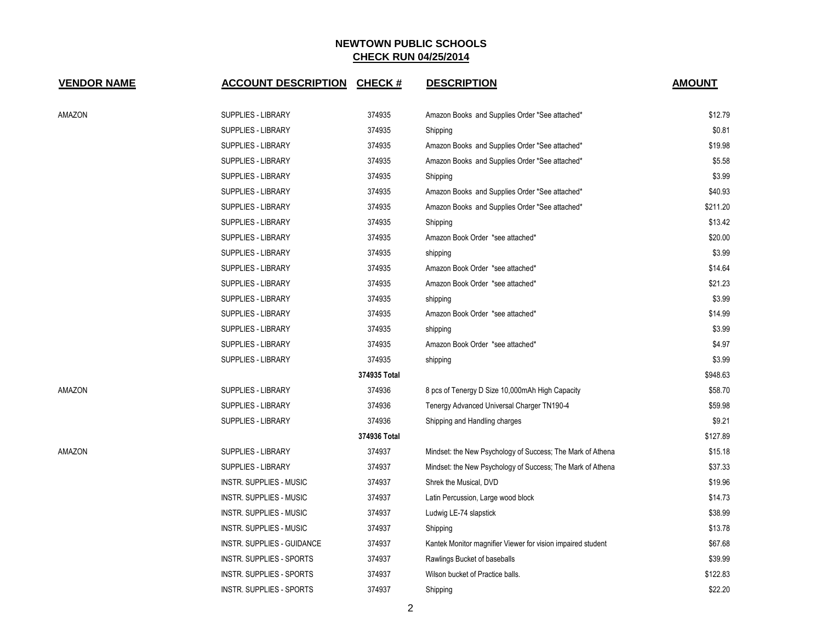| <b>VENDOR NAME</b> | <b>ACCOUNT DESCRIPTION</b>        | <b>CHECK#</b> | <b>DESCRIPTION</b>                                          | <b>AMOUNT</b> |
|--------------------|-----------------------------------|---------------|-------------------------------------------------------------|---------------|
| AMAZON             | <b>SUPPLIES - LIBRARY</b>         | 374935        | Amazon Books and Supplies Order *See attached*              | \$12.79       |
|                    | <b>SUPPLIES - LIBRARY</b>         | 374935        | Shipping                                                    | \$0.81        |
|                    | SUPPLIES - LIBRARY                | 374935        | Amazon Books and Supplies Order *See attached*              | \$19.98       |
|                    | <b>SUPPLIES - LIBRARY</b>         | 374935        | Amazon Books and Supplies Order *See attached*              | \$5.58        |
|                    | <b>SUPPLIES - LIBRARY</b>         | 374935        | Shipping                                                    | \$3.99        |
|                    | SUPPLIES - LIBRARY                | 374935        | Amazon Books and Supplies Order *See attached*              | \$40.93       |
|                    | <b>SUPPLIES - LIBRARY</b>         | 374935        | Amazon Books and Supplies Order *See attached*              | \$211.20      |
|                    | <b>SUPPLIES - LIBRARY</b>         | 374935        | Shipping                                                    | \$13.42       |
|                    | <b>SUPPLIES - LIBRARY</b>         | 374935        | Amazon Book Order *see attached*                            | \$20.00       |
|                    | <b>SUPPLIES - LIBRARY</b>         | 374935        | shipping                                                    | \$3.99        |
|                    | <b>SUPPLIES - LIBRARY</b>         | 374935        | Amazon Book Order *see attached*                            | \$14.64       |
|                    | <b>SUPPLIES - LIBRARY</b>         | 374935        | Amazon Book Order *see attached*                            | \$21.23       |
|                    | SUPPLIES - LIBRARY                | 374935        | shipping                                                    | \$3.99        |
|                    | SUPPLIES - LIBRARY                | 374935        | Amazon Book Order *see attached*                            | \$14.99       |
|                    | <b>SUPPLIES - LIBRARY</b>         | 374935        | shipping                                                    | \$3.99        |
|                    | <b>SUPPLIES - LIBRARY</b>         | 374935        | Amazon Book Order *see attached*                            | \$4.97        |
|                    | <b>SUPPLIES - LIBRARY</b>         | 374935        | shipping                                                    | \$3.99        |
|                    |                                   | 374935 Total  |                                                             | \$948.63      |
| AMAZON             | <b>SUPPLIES - LIBRARY</b>         | 374936        | 8 pcs of Tenergy D Size 10,000mAh High Capacity             | \$58.70       |
|                    | <b>SUPPLIES - LIBRARY</b>         | 374936        | Tenergy Advanced Universal Charger TN190-4                  | \$59.98       |
|                    | <b>SUPPLIES - LIBRARY</b>         | 374936        | Shipping and Handling charges                               | \$9.21        |
|                    |                                   | 374936 Total  |                                                             | \$127.89      |
| AMAZON             | <b>SUPPLIES - LIBRARY</b>         | 374937        | Mindset: the New Psychology of Success; The Mark of Athena  | \$15.18       |
|                    | <b>SUPPLIES - LIBRARY</b>         | 374937        | Mindset: the New Psychology of Success; The Mark of Athena  | \$37.33       |
|                    | <b>INSTR. SUPPLIES - MUSIC</b>    | 374937        | Shrek the Musical, DVD                                      | \$19.96       |
|                    | <b>INSTR. SUPPLIES - MUSIC</b>    | 374937        | Latin Percussion, Large wood block                          | \$14.73       |
|                    | <b>INSTR. SUPPLIES - MUSIC</b>    | 374937        | Ludwig LE-74 slapstick                                      | \$38.99       |
|                    | <b>INSTR. SUPPLIES - MUSIC</b>    | 374937        | Shipping                                                    | \$13.78       |
|                    | <b>INSTR. SUPPLIES - GUIDANCE</b> | 374937        | Kantek Monitor magnifier Viewer for vision impaired student | \$67.68       |
|                    | <b>INSTR. SUPPLIES - SPORTS</b>   | 374937        | Rawlings Bucket of baseballs                                | \$39.99       |
|                    | <b>INSTR. SUPPLIES - SPORTS</b>   | 374937        | Wilson bucket of Practice balls.                            | \$122.83      |
|                    | <b>INSTR. SUPPLIES - SPORTS</b>   | 374937        | Shipping                                                    | \$22.20       |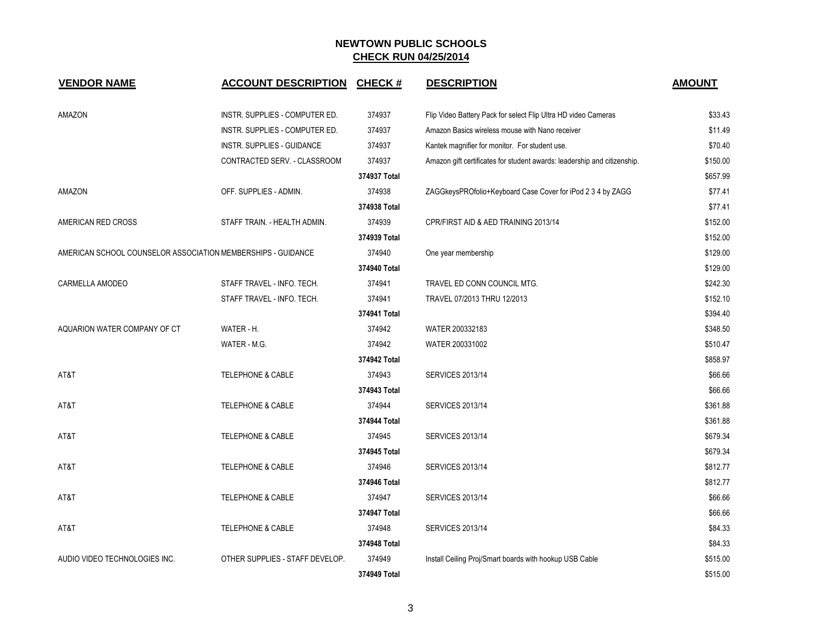| <b>VENDOR NAME</b>                                           | <b>ACCOUNT DESCRIPTION</b>        | <b>CHECK#</b> | <b>DESCRIPTION</b>                                                       | <b>AMOUNT</b> |
|--------------------------------------------------------------|-----------------------------------|---------------|--------------------------------------------------------------------------|---------------|
| AMAZON                                                       | INSTR. SUPPLIES - COMPUTER ED.    | 374937        | Flip Video Battery Pack for select Flip Ultra HD video Cameras           | \$33.43       |
|                                                              | INSTR. SUPPLIES - COMPUTER ED.    | 374937        | Amazon Basics wireless mouse with Nano receiver                          | \$11.49       |
|                                                              | <b>INSTR. SUPPLIES - GUIDANCE</b> | 374937        | Kantek magnifier for monitor. For student use.                           | \$70.40       |
|                                                              | CONTRACTED SERV. - CLASSROOM      | 374937        | Amazon gift certificates for student awards: leadership and citizenship. | \$150.00      |
|                                                              |                                   | 374937 Total  |                                                                          | \$657.99      |
| AMAZON                                                       | OFF. SUPPLIES - ADMIN.            | 374938        | ZAGGkeysPROfolio+Keyboard Case Cover for iPod 2 3 4 by ZAGG              | \$77.41       |
|                                                              |                                   | 374938 Total  |                                                                          | \$77.41       |
| AMERICAN RED CROSS                                           | STAFF TRAIN. - HEALTH ADMIN.      | 374939        | CPR/FIRST AID & AED TRAINING 2013/14                                     | \$152.00      |
|                                                              |                                   | 374939 Total  |                                                                          | \$152.00      |
| AMERICAN SCHOOL COUNSELOR ASSOCIATION MEMBERSHIPS - GUIDANCE |                                   | 374940        | One year membership                                                      | \$129.00      |
|                                                              |                                   | 374940 Total  |                                                                          | \$129.00      |
| CARMELLA AMODEO                                              | STAFF TRAVEL - INFO. TECH.        | 374941        | TRAVEL ED CONN COUNCIL MTG.                                              | \$242.30      |
|                                                              | STAFF TRAVEL - INFO. TECH.        | 374941        | TRAVEL 07/2013 THRU 12/2013                                              | \$152.10      |
|                                                              |                                   | 374941 Total  |                                                                          | \$394.40      |
| AQUARION WATER COMPANY OF CT                                 | WATER - H.                        | 374942        | WATER 200332183                                                          | \$348.50      |
|                                                              | WATER - M.G.                      | 374942        | WATER 200331002                                                          | \$510.47      |
|                                                              |                                   | 374942 Total  |                                                                          | \$858.97      |
| AT&T                                                         | TELEPHONE & CABLE                 | 374943        | <b>SERVICES 2013/14</b>                                                  | \$66.66       |
|                                                              |                                   | 374943 Total  |                                                                          | \$66.66       |
| AT&T                                                         | <b>TELEPHONE &amp; CABLE</b>      | 374944        | <b>SERVICES 2013/14</b>                                                  | \$361.88      |
|                                                              |                                   | 374944 Total  |                                                                          | \$361.88      |
| AT&T                                                         | <b>TELEPHONE &amp; CABLE</b>      | 374945        | <b>SERVICES 2013/14</b>                                                  | \$679.34      |
|                                                              |                                   | 374945 Total  |                                                                          | \$679.34      |
| AT&T                                                         | <b>TELEPHONE &amp; CABLE</b>      | 374946        | <b>SERVICES 2013/14</b>                                                  | \$812.77      |
|                                                              |                                   | 374946 Total  |                                                                          | \$812.77      |
| AT&T                                                         | <b>TELEPHONE &amp; CABLE</b>      | 374947        | <b>SERVICES 2013/14</b>                                                  | \$66.66       |
|                                                              |                                   | 374947 Total  |                                                                          | \$66.66       |
| AT&T                                                         | <b>TELEPHONE &amp; CABLE</b>      | 374948        | <b>SERVICES 2013/14</b>                                                  | \$84.33       |
|                                                              |                                   | 374948 Total  |                                                                          | \$84.33       |
| AUDIO VIDEO TECHNOLOGIES INC.                                | OTHER SUPPLIES - STAFF DEVELOP.   | 374949        | Install Ceiling Proj/Smart boards with hookup USB Cable                  | \$515.00      |
|                                                              |                                   | 374949 Total  |                                                                          | \$515.00      |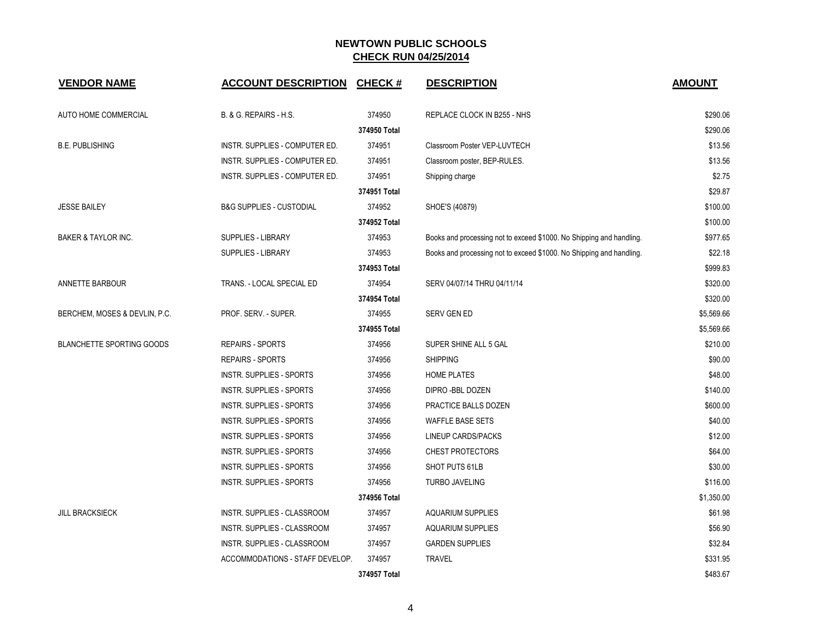| <b>VENDOR NAME</b>               | <b>ACCOUNT DESCRIPTION</b>          | <b>CHECK#</b> | <b>DESCRIPTION</b>                                                   | <b>AMOUNT</b> |
|----------------------------------|-------------------------------------|---------------|----------------------------------------------------------------------|---------------|
| AUTO HOME COMMERCIAL             | B. & G. REPAIRS - H.S.              | 374950        | REPLACE CLOCK IN B255 - NHS                                          | \$290.06      |
|                                  |                                     | 374950 Total  |                                                                      | \$290.06      |
| <b>B.E. PUBLISHING</b>           | INSTR. SUPPLIES - COMPUTER ED.      | 374951        | Classroom Poster VEP-LUVTECH                                         | \$13.56       |
|                                  | INSTR. SUPPLIES - COMPUTER ED.      | 374951        | Classroom poster, BEP-RULES.                                         | \$13.56       |
|                                  | INSTR. SUPPLIES - COMPUTER ED.      | 374951        | Shipping charge                                                      | \$2.75        |
|                                  |                                     | 374951 Total  |                                                                      | \$29.87       |
| <b>JESSE BAILEY</b>              | <b>B&amp;G SUPPLIES - CUSTODIAL</b> | 374952        | SHOE'S (40879)                                                       | \$100.00      |
|                                  |                                     | 374952 Total  |                                                                      | \$100.00      |
| BAKER & TAYLOR INC.              | SUPPLIES - LIBRARY                  | 374953        | Books and processing not to exceed \$1000. No Shipping and handling. | \$977.65      |
|                                  | SUPPLIES - LIBRARY                  | 374953        | Books and processing not to exceed \$1000. No Shipping and handling. | \$22.18       |
|                                  |                                     | 374953 Total  |                                                                      | \$999.83      |
| ANNETTE BARBOUR                  | TRANS. - LOCAL SPECIAL ED           | 374954        | SERV 04/07/14 THRU 04/11/14                                          | \$320.00      |
|                                  |                                     | 374954 Total  |                                                                      | \$320.00      |
| BERCHEM, MOSES & DEVLIN, P.C.    | PROF. SERV. - SUPER.                | 374955        | <b>SERV GEN ED</b>                                                   | \$5,569.66    |
|                                  |                                     | 374955 Total  |                                                                      | \$5,569.66    |
| <b>BLANCHETTE SPORTING GOODS</b> | <b>REPAIRS - SPORTS</b>             | 374956        | SUPER SHINE ALL 5 GAL                                                | \$210.00      |
|                                  | <b>REPAIRS - SPORTS</b>             | 374956        | <b>SHIPPING</b>                                                      | \$90.00       |
|                                  | <b>INSTR. SUPPLIES - SPORTS</b>     | 374956        | <b>HOME PLATES</b>                                                   | \$48.00       |
|                                  | <b>INSTR. SUPPLIES - SPORTS</b>     | 374956        | DIPRO-BBL DOZEN                                                      | \$140.00      |
|                                  | INSTR. SUPPLIES - SPORTS            | 374956        | PRACTICE BALLS DOZEN                                                 | \$600.00      |
|                                  | INSTR. SUPPLIES - SPORTS            | 374956        | <b>WAFFLE BASE SETS</b>                                              | \$40.00       |
|                                  | INSTR. SUPPLIES - SPORTS            | 374956        | LINEUP CARDS/PACKS                                                   | \$12.00       |
|                                  | INSTR. SUPPLIES - SPORTS            | 374956        | <b>CHEST PROTECTORS</b>                                              | \$64.00       |
|                                  | <b>INSTR. SUPPLIES - SPORTS</b>     | 374956        | SHOT PUTS 61LB                                                       | \$30.00       |
|                                  | <b>INSTR. SUPPLIES - SPORTS</b>     | 374956        | <b>TURBO JAVELING</b>                                                | \$116.00      |
|                                  |                                     | 374956 Total  |                                                                      | \$1,350.00    |
| <b>JILL BRACKSIECK</b>           | INSTR. SUPPLIES - CLASSROOM         | 374957        | <b>AQUARIUM SUPPLIES</b>                                             | \$61.98       |
|                                  | INSTR. SUPPLIES - CLASSROOM         | 374957        | <b>AQUARIUM SUPPLIES</b>                                             | \$56.90       |
|                                  | INSTR. SUPPLIES - CLASSROOM         | 374957        | <b>GARDEN SUPPLIES</b>                                               | \$32.84       |
|                                  | ACCOMMODATIONS - STAFF DEVELOP.     | 374957        | <b>TRAVEL</b>                                                        | \$331.95      |
|                                  |                                     | 374957 Total  |                                                                      | \$483.67      |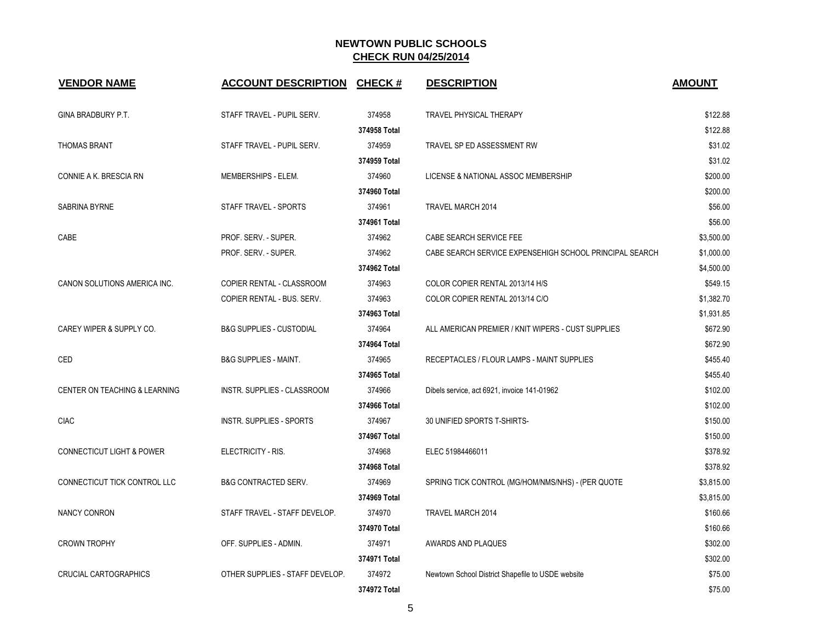| <b>VENDOR NAME</b>                   | <b>ACCOUNT DESCRIPTION</b>          | <b>CHECK#</b> | <b>DESCRIPTION</b>                                      | <b>AMOUNT</b> |
|--------------------------------------|-------------------------------------|---------------|---------------------------------------------------------|---------------|
| GINA BRADBURY P.T.                   | STAFF TRAVEL - PUPIL SERV.          | 374958        | <b>TRAVEL PHYSICAL THERAPY</b>                          | \$122.88      |
|                                      |                                     | 374958 Total  |                                                         | \$122.88      |
| <b>THOMAS BRANT</b>                  | STAFF TRAVEL - PUPIL SERV.          | 374959        | TRAVEL SP ED ASSESSMENT RW                              | \$31.02       |
|                                      |                                     | 374959 Total  |                                                         | \$31.02       |
| CONNIE A K. BRESCIA RN               | MEMBERSHIPS - ELEM.                 | 374960        | LICENSE & NATIONAL ASSOC MEMBERSHIP                     | \$200.00      |
|                                      |                                     | 374960 Total  |                                                         | \$200.00      |
| SABRINA BYRNE                        | STAFF TRAVEL - SPORTS               | 374961        | TRAVEL MARCH 2014                                       | \$56.00       |
|                                      |                                     | 374961 Total  |                                                         | \$56.00       |
| CABE                                 | PROF. SERV. - SUPER.                | 374962        | CABE SEARCH SERVICE FEE                                 | \$3,500.00    |
|                                      | PROF. SERV. - SUPER.                | 374962        | CABE SEARCH SERVICE EXPENSEHIGH SCHOOL PRINCIPAL SEARCH | \$1,000.00    |
|                                      |                                     | 374962 Total  |                                                         | \$4,500.00    |
| CANON SOLUTIONS AMERICA INC.         | COPIER RENTAL - CLASSROOM           | 374963        | COLOR COPIER RENTAL 2013/14 H/S                         | \$549.15      |
|                                      | COPIER RENTAL - BUS. SERV.          | 374963        | COLOR COPIER RENTAL 2013/14 C/O                         | \$1,382.70    |
|                                      |                                     | 374963 Total  |                                                         | \$1,931.85    |
| CAREY WIPER & SUPPLY CO.             | <b>B&amp;G SUPPLIES - CUSTODIAL</b> | 374964        | ALL AMERICAN PREMIER / KNIT WIPERS - CUST SUPPLIES      | \$672.90      |
|                                      |                                     | 374964 Total  |                                                         | \$672.90      |
| CED                                  | <b>B&amp;G SUPPLIES - MAINT.</b>    | 374965        | RECEPTACLES / FLOUR LAMPS - MAINT SUPPLIES              | \$455.40      |
|                                      |                                     | 374965 Total  |                                                         | \$455.40      |
| CENTER ON TEACHING & LEARNING        | INSTR. SUPPLIES - CLASSROOM         | 374966        | Dibels service, act 6921, invoice 141-01962             | \$102.00      |
|                                      |                                     | 374966 Total  |                                                         | \$102.00      |
| <b>CIAC</b>                          | <b>INSTR. SUPPLIES - SPORTS</b>     | 374967        | 30 UNIFIED SPORTS T-SHIRTS-                             | \$150.00      |
|                                      |                                     | 374967 Total  |                                                         | \$150.00      |
| <b>CONNECTICUT LIGHT &amp; POWER</b> | ELECTRICITY - RIS.                  | 374968        | ELEC 51984466011                                        | \$378.92      |
|                                      |                                     | 374968 Total  |                                                         | \$378.92      |
| CONNECTICUT TICK CONTROL LLC         | <b>B&amp;G CONTRACTED SERV.</b>     | 374969        | SPRING TICK CONTROL (MG/HOM/NMS/NHS) - (PER QUOTE       | \$3,815.00    |
|                                      |                                     | 374969 Total  |                                                         | \$3,815.00    |
| NANCY CONRON                         | STAFF TRAVEL - STAFF DEVELOP.       | 374970        | TRAVEL MARCH 2014                                       | \$160.66      |
|                                      |                                     | 374970 Total  |                                                         | \$160.66      |
| <b>CROWN TROPHY</b>                  | OFF. SUPPLIES - ADMIN.              | 374971        | AWARDS AND PLAQUES                                      | \$302.00      |
|                                      |                                     | 374971 Total  |                                                         | \$302.00      |
| <b>CRUCIAL CARTOGRAPHICS</b>         | OTHER SUPPLIES - STAFF DEVELOP.     | 374972        | Newtown School District Shapefile to USDE website       | \$75.00       |
|                                      |                                     | 374972 Total  |                                                         | \$75.00       |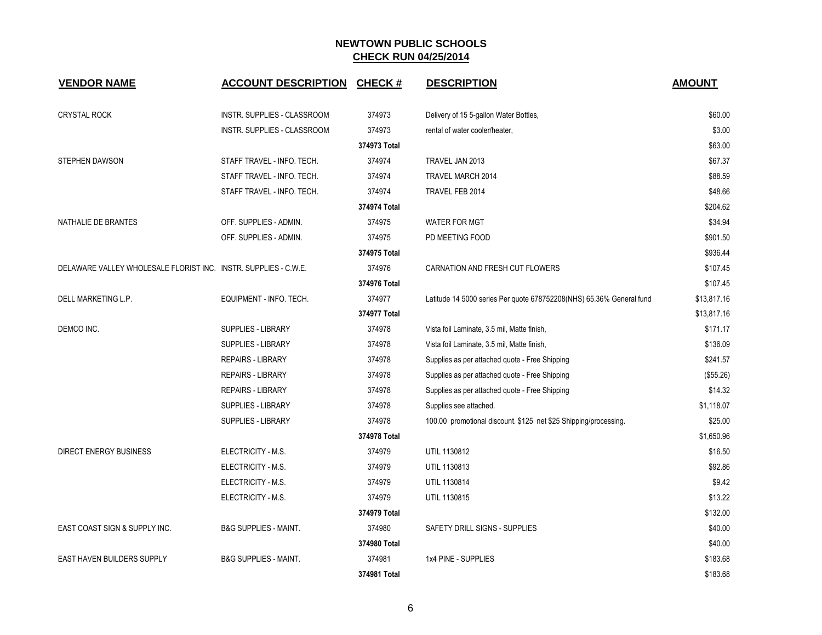| <b>VENDOR NAME</b>                                              | <b>ACCOUNT DESCRIPTION CHECK #</b> |              | <b>DESCRIPTION</b>                                                   | <b>AMOUNT</b> |
|-----------------------------------------------------------------|------------------------------------|--------------|----------------------------------------------------------------------|---------------|
|                                                                 |                                    |              |                                                                      |               |
| <b>CRYSTAL ROCK</b>                                             | INSTR. SUPPLIES - CLASSROOM        | 374973       | Delivery of 15 5-gallon Water Bottles,                               | \$60.00       |
|                                                                 | <b>INSTR. SUPPLIES - CLASSROOM</b> | 374973       | rental of water cooler/heater,                                       | \$3.00        |
|                                                                 |                                    | 374973 Total |                                                                      | \$63.00       |
| <b>STEPHEN DAWSON</b>                                           | STAFF TRAVEL - INFO. TECH.         | 374974       | TRAVEL JAN 2013                                                      | \$67.37       |
|                                                                 | STAFF TRAVEL - INFO. TECH.         | 374974       | TRAVEL MARCH 2014                                                    | \$88.59       |
|                                                                 | STAFF TRAVEL - INFO. TECH.         | 374974       | TRAVEL FEB 2014                                                      | \$48.66       |
|                                                                 |                                    | 374974 Total |                                                                      | \$204.62      |
| NATHALIE DE BRANTES                                             | OFF. SUPPLIES - ADMIN.             | 374975       | <b>WATER FOR MGT</b>                                                 | \$34.94       |
|                                                                 | OFF. SUPPLIES - ADMIN.             | 374975       | PD MEETING FOOD                                                      | \$901.50      |
|                                                                 |                                    | 374975 Total |                                                                      | \$936.44      |
| DELAWARE VALLEY WHOLESALE FLORIST INC. INSTR. SUPPLIES - C.W.E. |                                    | 374976       | CARNATION AND FRESH CUT FLOWERS                                      | \$107.45      |
|                                                                 |                                    | 374976 Total |                                                                      | \$107.45      |
| DELL MARKETING L.P.                                             | EQUIPMENT - INFO. TECH.            | 374977       | Latitude 14 5000 series Per quote 678752208(NHS) 65.36% General fund | \$13,817.16   |
|                                                                 |                                    | 374977 Total |                                                                      | \$13,817.16   |
| DEMCO INC.                                                      | <b>SUPPLIES - LIBRARY</b>          | 374978       | Vista foil Laminate, 3.5 mil, Matte finish,                          | \$171.17      |
|                                                                 | <b>SUPPLIES - LIBRARY</b>          | 374978       | Vista foil Laminate, 3.5 mil, Matte finish,                          | \$136.09      |
|                                                                 | <b>REPAIRS - LIBRARY</b>           | 374978       | Supplies as per attached quote - Free Shipping                       | \$241.57      |
|                                                                 | <b>REPAIRS - LIBRARY</b>           | 374978       | Supplies as per attached quote - Free Shipping                       | (\$55.26)     |
|                                                                 | <b>REPAIRS - LIBRARY</b>           | 374978       | Supplies as per attached quote - Free Shipping                       | \$14.32       |
|                                                                 | <b>SUPPLIES - LIBRARY</b>          | 374978       | Supplies see attached.                                               | \$1,118.07    |
|                                                                 | <b>SUPPLIES - LIBRARY</b>          | 374978       | 100.00 promotional discount. \$125 net \$25 Shipping/processing.     | \$25.00       |
|                                                                 |                                    | 374978 Total |                                                                      | \$1,650.96    |
| <b>DIRECT ENERGY BUSINESS</b>                                   | ELECTRICITY - M.S.                 | 374979       | UTIL 1130812                                                         | \$16.50       |
|                                                                 | ELECTRICITY - M.S.                 | 374979       | UTIL 1130813                                                         | \$92.86       |
|                                                                 | ELECTRICITY - M.S.                 | 374979       | UTIL 1130814                                                         | \$9.42        |
|                                                                 | ELECTRICITY - M.S.                 | 374979       | UTIL 1130815                                                         | \$13.22       |
|                                                                 |                                    | 374979 Total |                                                                      | \$132.00      |
| EAST COAST SIGN & SUPPLY INC.                                   | <b>B&amp;G SUPPLIES - MAINT.</b>   | 374980       | SAFETY DRILL SIGNS - SUPPLIES                                        | \$40.00       |
|                                                                 |                                    | 374980 Total |                                                                      | \$40.00       |
| EAST HAVEN BUILDERS SUPPLY                                      | <b>B&amp;G SUPPLIES - MAINT.</b>   | 374981       | 1x4 PINE - SUPPLIES                                                  | \$183.68      |
|                                                                 |                                    | 374981 Total |                                                                      | \$183.68      |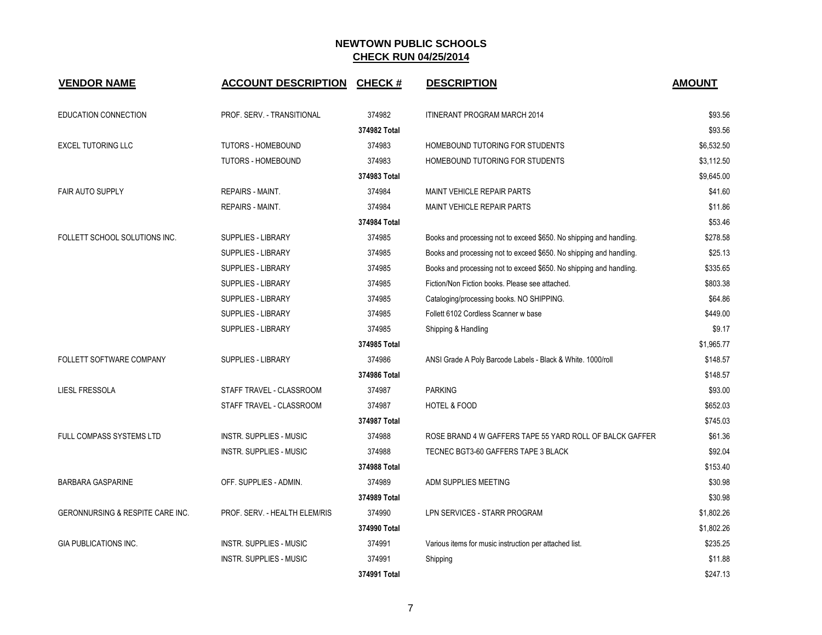| <b>VENDOR NAME</b>                          | <b>ACCOUNT DESCRIPTION</b>     | <b>CHECK#</b> | <b>DESCRIPTION</b>                                                  | <b>AMOUNT</b> |
|---------------------------------------------|--------------------------------|---------------|---------------------------------------------------------------------|---------------|
| <b>EDUCATION CONNECTION</b>                 | PROF. SERV. - TRANSITIONAL     | 374982        | ITINERANT PROGRAM MARCH 2014                                        | \$93.56       |
|                                             |                                | 374982 Total  |                                                                     | \$93.56       |
| <b>EXCEL TUTORING LLC</b>                   | <b>TUTORS - HOMEBOUND</b>      | 374983        | HOMEBOUND TUTORING FOR STUDENTS                                     | \$6,532.50    |
|                                             | <b>TUTORS - HOMEBOUND</b>      | 374983        | HOMEBOUND TUTORING FOR STUDENTS                                     | \$3.112.50    |
|                                             |                                | 374983 Total  |                                                                     | \$9,645.00    |
| <b>FAIR AUTO SUPPLY</b>                     | REPAIRS - MAINT.               | 374984        | <b>MAINT VEHICLE REPAIR PARTS</b>                                   | \$41.60       |
|                                             | <b>REPAIRS - MAINT.</b>        | 374984        | <b>MAINT VEHICLE REPAIR PARTS</b>                                   | \$11.86       |
|                                             |                                | 374984 Total  |                                                                     | \$53.46       |
| FOLLETT SCHOOL SOLUTIONS INC.               | <b>SUPPLIES - LIBRARY</b>      | 374985        | Books and processing not to exceed \$650. No shipping and handling. | \$278.58      |
|                                             | <b>SUPPLIES - LIBRARY</b>      | 374985        | Books and processing not to exceed \$650. No shipping and handling. | \$25.13       |
|                                             | <b>SUPPLIES - LIBRARY</b>      | 374985        | Books and processing not to exceed \$650. No shipping and handling. | \$335.65      |
|                                             | <b>SUPPLIES - LIBRARY</b>      | 374985        | Fiction/Non Fiction books. Please see attached.                     | \$803.38      |
|                                             | <b>SUPPLIES - LIBRARY</b>      | 374985        | Cataloging/processing books. NO SHIPPING.                           | \$64.86       |
|                                             | <b>SUPPLIES - LIBRARY</b>      | 374985        | Follett 6102 Cordless Scanner w base                                | \$449.00      |
|                                             | <b>SUPPLIES - LIBRARY</b>      | 374985        | Shipping & Handling                                                 | \$9.17        |
|                                             |                                | 374985 Total  |                                                                     | \$1,965.77    |
| FOLLETT SOFTWARE COMPANY                    | <b>SUPPLIES - LIBRARY</b>      | 374986        | ANSI Grade A Poly Barcode Labels - Black & White. 1000/roll         | \$148.57      |
|                                             |                                | 374986 Total  |                                                                     | \$148.57      |
| LIESL FRESSOLA                              | STAFF TRAVEL - CLASSROOM       | 374987        | <b>PARKING</b>                                                      | \$93.00       |
|                                             | STAFF TRAVEL - CLASSROOM       | 374987        | <b>HOTEL &amp; FOOD</b>                                             | \$652.03      |
|                                             |                                | 374987 Total  |                                                                     | \$745.03      |
| FULL COMPASS SYSTEMS LTD                    | INSTR. SUPPLIES - MUSIC        | 374988        | ROSE BRAND 4 W GAFFERS TAPE 55 YARD ROLL OF BALCK GAFFER            | \$61.36       |
|                                             | <b>INSTR. SUPPLIES - MUSIC</b> | 374988        | TECNEC BGT3-60 GAFFERS TAPE 3 BLACK                                 | \$92.04       |
|                                             |                                | 374988 Total  |                                                                     | \$153.40      |
| <b>BARBARA GASPARINE</b>                    | OFF. SUPPLIES - ADMIN.         | 374989        | ADM SUPPLIES MEETING                                                | \$30.98       |
|                                             |                                | 374989 Total  |                                                                     | \$30.98       |
| <b>GERONNURSING &amp; RESPITE CARE INC.</b> | PROF. SERV. - HEALTH ELEM/RIS  | 374990        | LPN SERVICES - STARR PROGRAM                                        | \$1,802.26    |
|                                             |                                | 374990 Total  |                                                                     | \$1,802.26    |
| <b>GIA PUBLICATIONS INC.</b>                | INSTR. SUPPLIES - MUSIC        | 374991        | Various items for music instruction per attached list.              | \$235.25      |
|                                             | <b>INSTR. SUPPLIES - MUSIC</b> | 374991        | Shipping                                                            | \$11.88       |
|                                             |                                | 374991 Total  |                                                                     | \$247.13      |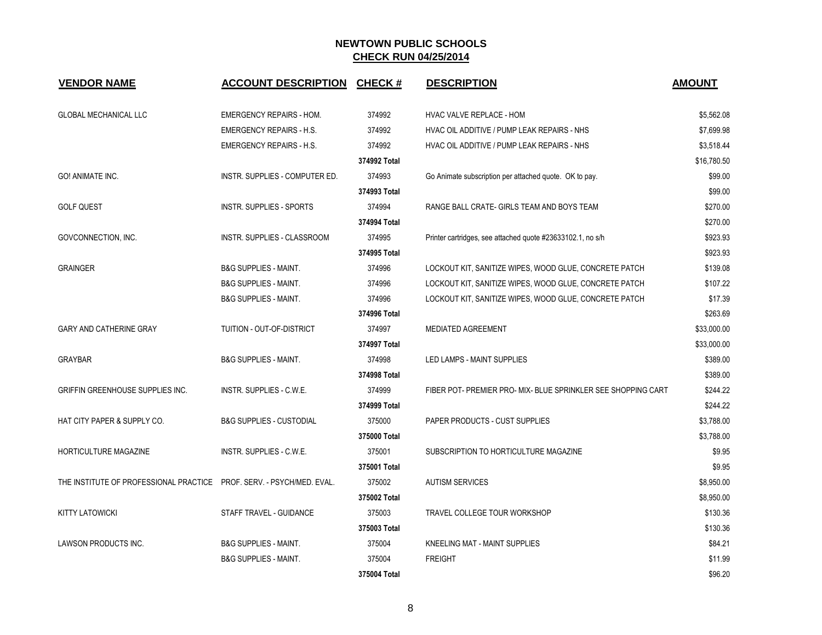| <b>VENDOR NAME</b>                                                    | ACCOUNT DESCRIPTION CHECK #         |              | <b>DESCRIPTION</b>                                            | <b>AMOUNT</b> |
|-----------------------------------------------------------------------|-------------------------------------|--------------|---------------------------------------------------------------|---------------|
| <b>GLOBAL MECHANICAL LLC</b>                                          | <b>EMERGENCY REPAIRS - HOM.</b>     | 374992       | <b>HVAC VALVE REPLACE - HOM</b>                               | \$5,562.08    |
|                                                                       | <b>EMERGENCY REPAIRS - H.S.</b>     | 374992       | HVAC OIL ADDITIVE / PUMP LEAK REPAIRS - NHS                   | \$7,699.98    |
|                                                                       | <b>EMERGENCY REPAIRS - H.S.</b>     | 374992       | HVAC OIL ADDITIVE / PUMP LEAK REPAIRS - NHS                   | \$3,518.44    |
|                                                                       |                                     | 374992 Total |                                                               | \$16,780.50   |
| GO! ANIMATE INC.                                                      | INSTR. SUPPLIES - COMPUTER ED.      | 374993       | Go Animate subscription per attached quote. OK to pay.        | \$99.00       |
|                                                                       |                                     | 374993 Total |                                                               | \$99.00       |
| <b>GOLF QUEST</b>                                                     | <b>INSTR. SUPPLIES - SPORTS</b>     | 374994       | RANGE BALL CRATE- GIRLS TEAM AND BOYS TEAM                    | \$270.00      |
|                                                                       |                                     | 374994 Total |                                                               | \$270.00      |
| GOVCONNECTION, INC.                                                   | INSTR. SUPPLIES - CLASSROOM         | 374995       | Printer cartridges, see attached quote #23633102.1, no s/h    | \$923.93      |
|                                                                       |                                     | 374995 Total |                                                               | \$923.93      |
| <b>GRAINGER</b>                                                       | <b>B&amp;G SUPPLIES - MAINT.</b>    | 374996       | LOCKOUT KIT, SANITIZE WIPES, WOOD GLUE, CONCRETE PATCH        | \$139.08      |
|                                                                       | <b>B&amp;G SUPPLIES - MAINT.</b>    | 374996       | LOCKOUT KIT, SANITIZE WIPES, WOOD GLUE, CONCRETE PATCH        | \$107.22      |
|                                                                       | <b>B&amp;G SUPPLIES - MAINT.</b>    | 374996       | LOCKOUT KIT, SANITIZE WIPES, WOOD GLUE, CONCRETE PATCH        | \$17.39       |
|                                                                       |                                     | 374996 Total |                                                               | \$263.69      |
| <b>GARY AND CATHERINE GRAY</b>                                        | TUITION - OUT-OF-DISTRICT           | 374997       | <b>MEDIATED AGREEMENT</b>                                     | \$33,000.00   |
|                                                                       |                                     | 374997 Total |                                                               | \$33,000.00   |
| <b>GRAYBAR</b>                                                        | <b>B&amp;G SUPPLIES - MAINT.</b>    | 374998       | LED LAMPS - MAINT SUPPLIES                                    | \$389.00      |
|                                                                       |                                     | 374998 Total |                                                               | \$389.00      |
| GRIFFIN GREENHOUSE SUPPLIES INC.                                      | INSTR. SUPPLIES - C.W.E.            | 374999       | FIBER POT- PREMIER PRO- MIX- BLUE SPRINKLER SEE SHOPPING CART | \$244.22      |
|                                                                       |                                     | 374999 Total |                                                               | \$244.22      |
| <b>HAT CITY PAPER &amp; SUPPLY CO.</b>                                | <b>B&amp;G SUPPLIES - CUSTODIAL</b> | 375000       | <b>PAPER PRODUCTS - CUST SUPPLIES</b>                         | \$3,788.00    |
|                                                                       |                                     | 375000 Total |                                                               | \$3,788.00    |
| HORTICULTURE MAGAZINE                                                 | INSTR. SUPPLIES - C.W.E.            | 375001       | SUBSCRIPTION TO HORTICULTURE MAGAZINE                         | \$9.95        |
|                                                                       |                                     | 375001 Total |                                                               | \$9.95        |
| THE INSTITUTE OF PROFESSIONAL PRACTICE PROF. SERV. - PSYCH/MED. EVAL. |                                     | 375002       | <b>AUTISM SERVICES</b>                                        | \$8,950.00    |
|                                                                       |                                     | 375002 Total |                                                               | \$8,950.00    |
| <b>KITTY LATOWICKI</b>                                                | STAFF TRAVEL - GUIDANCE             | 375003       | TRAVEL COLLEGE TOUR WORKSHOP                                  | \$130.36      |
|                                                                       |                                     | 375003 Total |                                                               | \$130.36      |
| LAWSON PRODUCTS INC.                                                  | <b>B&amp;G SUPPLIES - MAINT.</b>    | 375004       | KNEELING MAT - MAINT SUPPLIES                                 | \$84.21       |
|                                                                       | <b>B&amp;G SUPPLIES - MAINT.</b>    | 375004       | <b>FREIGHT</b>                                                | \$11.99       |
|                                                                       |                                     | 375004 Total |                                                               | \$96.20       |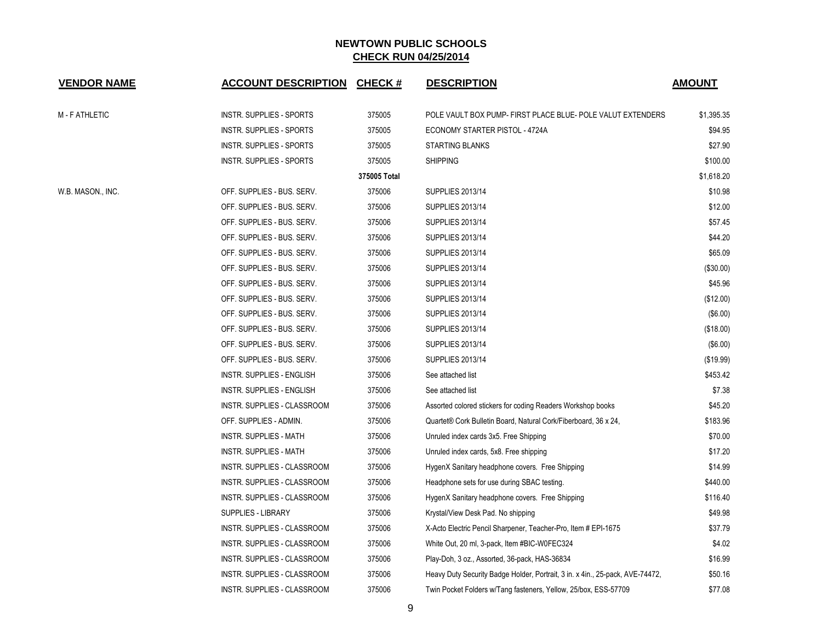| <b>VENDOR NAME</b> | <b>ACCOUNT DESCRIPTION</b>         | <b>CHECK#</b> | <b>DESCRIPTION</b>                                                             | <b>AMOUNT</b> |
|--------------------|------------------------------------|---------------|--------------------------------------------------------------------------------|---------------|
| M - F ATHLETIC     | <b>INSTR. SUPPLIES - SPORTS</b>    | 375005        | POLE VAULT BOX PUMP- FIRST PLACE BLUE- POLE VALUT EXTENDERS                    | \$1,395.35    |
|                    | INSTR. SUPPLIES - SPORTS           | 375005        | ECONOMY STARTER PISTOL - 4724A                                                 | \$94.95       |
|                    | INSTR. SUPPLIES - SPORTS           | 375005        | <b>STARTING BLANKS</b>                                                         | \$27.90       |
|                    | INSTR. SUPPLIES - SPORTS           | 375005        | <b>SHIPPING</b>                                                                | \$100.00      |
|                    |                                    | 375005 Total  |                                                                                | \$1,618.20    |
| W.B. MASON., INC.  | OFF. SUPPLIES - BUS. SERV.         | 375006        | <b>SUPPLIES 2013/14</b>                                                        | \$10.98       |
|                    | OFF. SUPPLIES - BUS. SERV.         | 375006        | <b>SUPPLIES 2013/14</b>                                                        | \$12.00       |
|                    | OFF. SUPPLIES - BUS. SERV.         | 375006        | <b>SUPPLIES 2013/14</b>                                                        | \$57.45       |
|                    | OFF. SUPPLIES - BUS. SERV.         | 375006        | <b>SUPPLIES 2013/14</b>                                                        | \$44.20       |
|                    | OFF. SUPPLIES - BUS. SERV.         | 375006        | <b>SUPPLIES 2013/14</b>                                                        | \$65.09       |
|                    | OFF. SUPPLIES - BUS. SERV.         | 375006        | <b>SUPPLIES 2013/14</b>                                                        | (\$30.00)     |
|                    | OFF. SUPPLIES - BUS. SERV.         | 375006        | <b>SUPPLIES 2013/14</b>                                                        | \$45.96       |
|                    | OFF. SUPPLIES - BUS. SERV.         | 375006        | <b>SUPPLIES 2013/14</b>                                                        | (\$12.00)     |
|                    | OFF. SUPPLIES - BUS. SERV.         | 375006        | <b>SUPPLIES 2013/14</b>                                                        | (\$6.00)      |
|                    | OFF. SUPPLIES - BUS. SERV.         | 375006        | <b>SUPPLIES 2013/14</b>                                                        | (\$18.00)     |
|                    | OFF. SUPPLIES - BUS. SERV.         | 375006        | <b>SUPPLIES 2013/14</b>                                                        | (\$6.00)      |
|                    | OFF. SUPPLIES - BUS. SERV.         | 375006        | <b>SUPPLIES 2013/14</b>                                                        | (\$19.99)     |
|                    | INSTR. SUPPLIES - ENGLISH          | 375006        | See attached list                                                              | \$453.42      |
|                    | INSTR. SUPPLIES - ENGLISH          | 375006        | See attached list                                                              | \$7.38        |
|                    | INSTR. SUPPLIES - CLASSROOM        | 375006        | Assorted colored stickers for coding Readers Workshop books                    | \$45.20       |
|                    | OFF. SUPPLIES - ADMIN.             | 375006        | Quartet® Cork Bulletin Board, Natural Cork/Fiberboard, 36 x 24,                | \$183.96      |
|                    | <b>INSTR. SUPPLIES - MATH</b>      | 375006        | Unruled index cards 3x5. Free Shipping                                         | \$70.00       |
|                    | <b>INSTR. SUPPLIES - MATH</b>      | 375006        | Unruled index cards, 5x8. Free shipping                                        | \$17.20       |
|                    | INSTR. SUPPLIES - CLASSROOM        | 375006        | HygenX Sanitary headphone covers. Free Shipping                                | \$14.99       |
|                    | INSTR. SUPPLIES - CLASSROOM        | 375006        | Headphone sets for use during SBAC testing.                                    | \$440.00      |
|                    | INSTR. SUPPLIES - CLASSROOM        | 375006        | HygenX Sanitary headphone covers. Free Shipping                                | \$116.40      |
|                    | <b>SUPPLIES - LIBRARY</b>          | 375006        | Krystal/View Desk Pad. No shipping                                             | \$49.98       |
|                    | INSTR. SUPPLIES - CLASSROOM        | 375006        | X-Acto Electric Pencil Sharpener, Teacher-Pro, Item # EPI-1675                 | \$37.79       |
|                    | INSTR. SUPPLIES - CLASSROOM        | 375006        | White Out, 20 ml, 3-pack, Item #BIC-W0FEC324                                   | \$4.02        |
|                    | INSTR. SUPPLIES - CLASSROOM        | 375006        | Play-Doh, 3 oz., Assorted, 36-pack, HAS-36834                                  | \$16.99       |
|                    | INSTR. SUPPLIES - CLASSROOM        | 375006        | Heavy Duty Security Badge Holder, Portrait, 3 in. x 4 in., 25-pack, AVE-74472, | \$50.16       |
|                    | <b>INSTR. SUPPLIES - CLASSROOM</b> | 375006        | Twin Pocket Folders w/Tang fasteners, Yellow, 25/box, ESS-57709                | \$77.08       |

9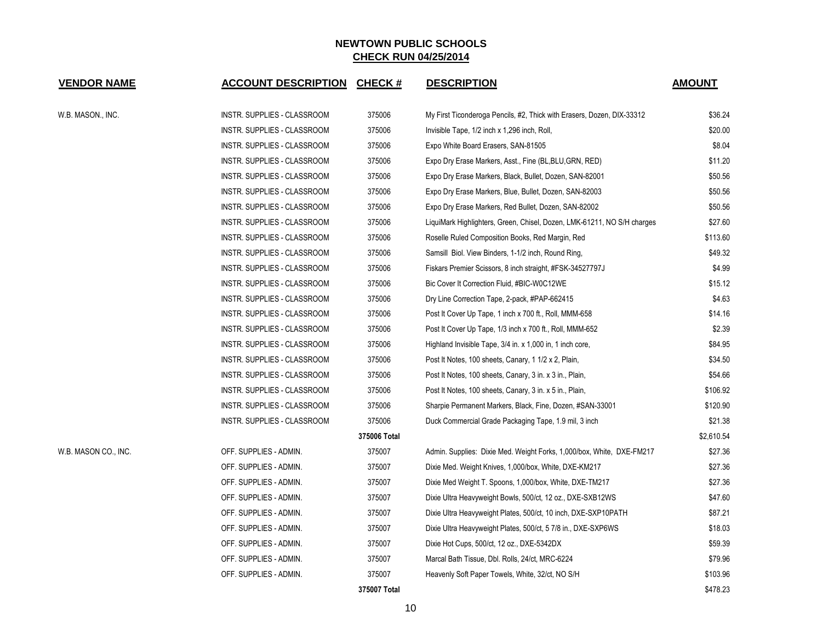| <b>VENDOR NAME</b>   | <b>ACCOUNT DESCRIPTION</b>  | <b>CHECK#</b> | <b>DESCRIPTION</b>                                                      | <b>AMOUNT</b> |
|----------------------|-----------------------------|---------------|-------------------------------------------------------------------------|---------------|
| W.B. MASON., INC.    | INSTR. SUPPLIES - CLASSROOM | 375006        | My First Ticonderoga Pencils, #2, Thick with Erasers, Dozen, DIX-33312  | \$36.24       |
|                      | INSTR. SUPPLIES - CLASSROOM | 375006        | Invisible Tape, 1/2 inch x 1,296 inch, Roll,                            | \$20.00       |
|                      | INSTR. SUPPLIES - CLASSROOM | 375006        | Expo White Board Erasers, SAN-81505                                     | \$8.04        |
|                      | INSTR. SUPPLIES - CLASSROOM | 375006        | Expo Dry Erase Markers, Asst., Fine (BL, BLU, GRN, RED)                 | \$11.20       |
|                      | INSTR. SUPPLIES - CLASSROOM | 375006        | Expo Dry Erase Markers, Black, Bullet, Dozen, SAN-82001                 | \$50.56       |
|                      | INSTR. SUPPLIES - CLASSROOM | 375006        | Expo Dry Erase Markers, Blue, Bullet, Dozen, SAN-82003                  | \$50.56       |
|                      | INSTR. SUPPLIES - CLASSROOM | 375006        | Expo Dry Erase Markers, Red Bullet, Dozen, SAN-82002                    | \$50.56       |
|                      | INSTR. SUPPLIES - CLASSROOM | 375006        | LiquiMark Highlighters, Green, Chisel, Dozen, LMK-61211, NO S/H charges | \$27.60       |
|                      | INSTR. SUPPLIES - CLASSROOM | 375006        | Roselle Ruled Composition Books, Red Margin, Red                        | \$113.60      |
|                      | INSTR. SUPPLIES - CLASSROOM | 375006        | Samsill Biol. View Binders, 1-1/2 inch, Round Ring,                     | \$49.32       |
|                      | INSTR. SUPPLIES - CLASSROOM | 375006        | Fiskars Premier Scissors, 8 inch straight, #FSK-34527797J               | \$4.99        |
|                      | INSTR. SUPPLIES - CLASSROOM | 375006        | Bic Cover It Correction Fluid, #BIC-W0C12WE                             | \$15.12       |
|                      | INSTR. SUPPLIES - CLASSROOM | 375006        | Dry Line Correction Tape, 2-pack, #PAP-662415                           | \$4.63        |
|                      | INSTR. SUPPLIES - CLASSROOM | 375006        | Post It Cover Up Tape, 1 inch x 700 ft., Roll, MMM-658                  | \$14.16       |
|                      | INSTR. SUPPLIES - CLASSROOM | 375006        | Post It Cover Up Tape, 1/3 inch x 700 ft., Roll, MMM-652                | \$2.39        |
|                      | INSTR. SUPPLIES - CLASSROOM | 375006        | Highland Invisible Tape, 3/4 in. x 1,000 in, 1 inch core,               | \$84.95       |
|                      | INSTR. SUPPLIES - CLASSROOM | 375006        | Post It Notes, 100 sheets, Canary, 1 1/2 x 2, Plain,                    | \$34.50       |
|                      | INSTR. SUPPLIES - CLASSROOM | 375006        | Post It Notes, 100 sheets, Canary, 3 in. x 3 in., Plain,                | \$54.66       |
|                      | INSTR. SUPPLIES - CLASSROOM | 375006        | Post It Notes, 100 sheets, Canary, 3 in. x 5 in., Plain,                | \$106.92      |
|                      | INSTR. SUPPLIES - CLASSROOM | 375006        | Sharpie Permanent Markers, Black, Fine, Dozen, #SAN-33001               | \$120.90      |
|                      | INSTR. SUPPLIES - CLASSROOM | 375006        | Duck Commercial Grade Packaging Tape, 1.9 mil, 3 inch                   | \$21.38       |
|                      |                             | 375006 Total  |                                                                         | \$2,610.54    |
| W.B. MASON CO., INC. | OFF. SUPPLIES - ADMIN.      | 375007        | Admin. Supplies: Dixie Med. Weight Forks, 1,000/box, White, DXE-FM217   | \$27.36       |
|                      | OFF. SUPPLIES - ADMIN.      | 375007        | Dixie Med. Weight Knives, 1,000/box, White, DXE-KM217                   | \$27.36       |
|                      | OFF. SUPPLIES - ADMIN.      | 375007        | Dixie Med Weight T. Spoons, 1,000/box, White, DXE-TM217                 | \$27.36       |
|                      | OFF. SUPPLIES - ADMIN.      | 375007        | Dixie Ultra Heavyweight Bowls, 500/ct, 12 oz., DXE-SXB12WS              | \$47.60       |
|                      | OFF. SUPPLIES - ADMIN.      | 375007        | Dixie Ultra Heavyweight Plates, 500/ct, 10 inch, DXE-SXP10PATH          | \$87.21       |
|                      | OFF. SUPPLIES - ADMIN.      | 375007        | Dixie Ultra Heavyweight Plates, 500/ct, 5 7/8 in., DXE-SXP6WS           | \$18.03       |
|                      | OFF. SUPPLIES - ADMIN.      | 375007        | Dixie Hot Cups, 500/ct, 12 oz., DXE-5342DX                              | \$59.39       |
|                      | OFF. SUPPLIES - ADMIN.      | 375007        | Marcal Bath Tissue, Dbl. Rolls, 24/ct, MRC-6224                         | \$79.96       |
|                      | OFF. SUPPLIES - ADMIN.      | 375007        | Heavenly Soft Paper Towels, White, 32/ct, NO S/H                        | \$103.96      |
|                      |                             | 375007 Total  |                                                                         | \$478.23      |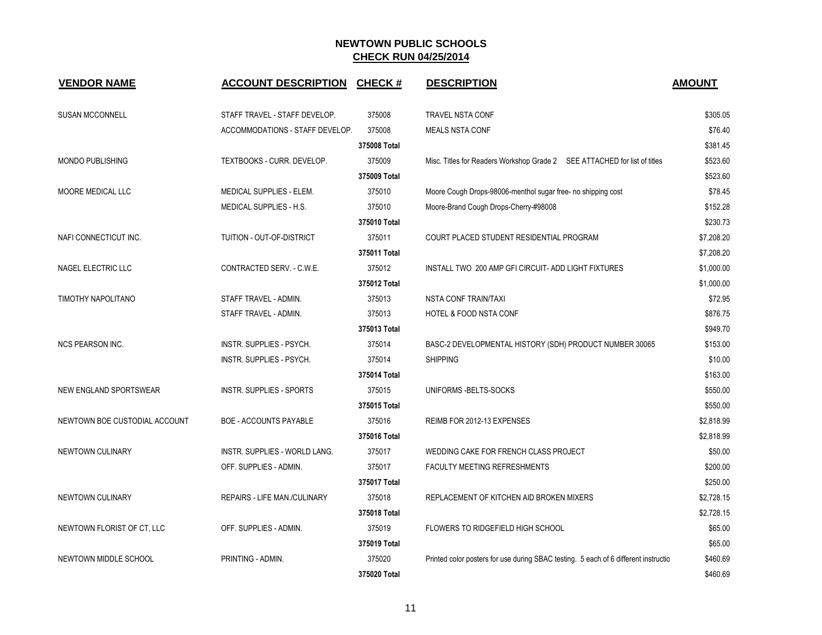| <b>VENDOR NAME</b>            | <b>ACCOUNT DESCRIPTION</b>      | <b>CHECK#</b> | <b>DESCRIPTION</b>                                                                  | <b>AMOUNT</b> |
|-------------------------------|---------------------------------|---------------|-------------------------------------------------------------------------------------|---------------|
| <b>SUSAN MCCONNELL</b>        | STAFF TRAVEL - STAFF DEVELOP.   | 375008        | TRAVEL NSTA CONF                                                                    | \$305.05      |
|                               | ACCOMMODATIONS - STAFF DEVELOP. | 375008        | <b>MEALS NSTA CONF</b>                                                              | \$76.40       |
|                               |                                 | 375008 Total  |                                                                                     | \$381.45      |
| <b>MONDO PUBLISHING</b>       | TEXTBOOKS - CURR. DEVELOP.      | 375009        | Misc. Titles for Readers Workshop Grade 2  SEE ATTACHED for list of titles          | \$523.60      |
|                               |                                 | 375009 Total  |                                                                                     | \$523.60      |
| MOORE MEDICAL LLC             | MEDICAL SUPPLIES - ELEM.        | 375010        | Moore Cough Drops-98006-menthol sugar free- no shipping cost                        | \$78.45       |
|                               | <b>MEDICAL SUPPLIES - H.S.</b>  | 375010        | Moore-Brand Cough Drops-Cherry-#98008                                               | \$152.28      |
|                               |                                 | 375010 Total  |                                                                                     | \$230.73      |
| NAFI CONNECTICUT INC.         | TUITION - OUT-OF-DISTRICT       | 375011        | COURT PLACED STUDENT RESIDENTIAL PROGRAM                                            | \$7,208.20    |
|                               |                                 | 375011 Total  |                                                                                     | \$7,208.20    |
| NAGEL ELECTRIC LLC            | CONTRACTED SERV. - C.W.E.       | 375012        | INSTALL TWO 200 AMP GFI CIRCUIT- ADD LIGHT FIXTURES                                 | \$1,000.00    |
|                               |                                 | 375012 Total  |                                                                                     | \$1,000.00    |
| TIMOTHY NAPOLITANO            | STAFF TRAVEL - ADMIN.           | 375013        | NSTA CONF TRAIN/TAXI                                                                | \$72.95       |
|                               | STAFF TRAVEL - ADMIN.           | 375013        | HOTEL & FOOD NSTA CONF                                                              | \$876.75      |
|                               |                                 | 375013 Total  |                                                                                     | \$949.70      |
| <b>NCS PEARSON INC.</b>       | INSTR. SUPPLIES - PSYCH.        | 375014        | BASC-2 DEVELOPMENTAL HISTORY (SDH) PRODUCT NUMBER 30065                             | \$153.00      |
|                               | INSTR. SUPPLIES - PSYCH.        | 375014        | <b>SHIPPING</b>                                                                     | \$10.00       |
|                               |                                 | 375014 Total  |                                                                                     | \$163.00      |
| NEW ENGLAND SPORTSWEAR        | <b>INSTR. SUPPLIES - SPORTS</b> | 375015        | UNIFORMS - BELTS-SOCKS                                                              | \$550.00      |
|                               |                                 | 375015 Total  |                                                                                     | \$550.00      |
| NEWTOWN BOE CUSTODIAL ACCOUNT | BOE - ACCOUNTS PAYABLE          | 375016        | REIMB FOR 2012-13 EXPENSES                                                          | \$2,818.99    |
|                               |                                 | 375016 Total  |                                                                                     | \$2,818.99    |
| NEWTOWN CULINARY              | INSTR. SUPPLIES - WORLD LANG.   | 375017        | WEDDING CAKE FOR FRENCH CLASS PROJECT                                               | \$50.00       |
|                               | OFF. SUPPLIES - ADMIN.          | 375017        | FACULTY MEETING REFRESHMENTS                                                        | \$200.00      |
|                               |                                 | 375017 Total  |                                                                                     | \$250.00      |
| NEWTOWN CULINARY              | REPAIRS - LIFE MAN./CULINARY    | 375018        | REPLACEMENT OF KITCHEN AID BROKEN MIXERS                                            | \$2,728.15    |
|                               |                                 | 375018 Total  |                                                                                     | \$2,728.15    |
| NEWTOWN FLORIST OF CT, LLC    | OFF. SUPPLIES - ADMIN.          | 375019        | FLOWERS TO RIDGEFIELD HIGH SCHOOL                                                   | \$65.00       |
|                               |                                 | 375019 Total  |                                                                                     | \$65.00       |
| NEWTOWN MIDDLE SCHOOL         | PRINTING - ADMIN.               | 375020        | Printed color posters for use during SBAC testing. 5 each of 6 different instructio | \$460.69      |
|                               |                                 | 375020 Total  |                                                                                     | \$460.69      |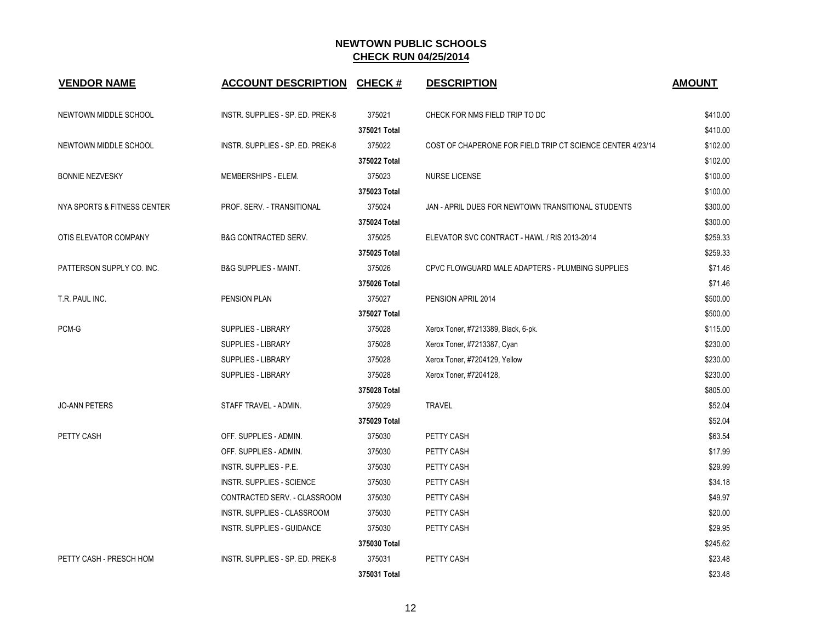| <b>VENDOR NAME</b>          | <b>ACCOUNT DESCRIPTION</b>       | <b>CHECK#</b> | <b>DESCRIPTION</b>                                         | <b>AMOUNT</b> |
|-----------------------------|----------------------------------|---------------|------------------------------------------------------------|---------------|
| NEWTOWN MIDDLE SCHOOL       | INSTR. SUPPLIES - SP. ED. PREK-8 | 375021        | CHECK FOR NMS FIELD TRIP TO DC                             | \$410.00      |
|                             |                                  | 375021 Total  |                                                            | \$410.00      |
| NEWTOWN MIDDLE SCHOOL       | INSTR. SUPPLIES - SP. ED. PREK-8 | 375022        | COST OF CHAPERONE FOR FIELD TRIP CT SCIENCE CENTER 4/23/14 | \$102.00      |
|                             |                                  | 375022 Total  |                                                            | \$102.00      |
| <b>BONNIE NEZVESKY</b>      | MEMBERSHIPS - ELEM.              | 375023        | <b>NURSE LICENSE</b>                                       | \$100.00      |
|                             |                                  | 375023 Total  |                                                            | \$100.00      |
| NYA SPORTS & FITNESS CENTER | PROF. SERV. - TRANSITIONAL       | 375024        | JAN - APRIL DUES FOR NEWTOWN TRANSITIONAL STUDENTS         | \$300.00      |
|                             |                                  | 375024 Total  |                                                            | \$300.00      |
| OTIS ELEVATOR COMPANY       | <b>B&amp;G CONTRACTED SERV.</b>  | 375025        | ELEVATOR SVC CONTRACT - HAWL / RIS 2013-2014               | \$259.33      |
|                             |                                  | 375025 Total  |                                                            | \$259.33      |
| PATTERSON SUPPLY CO. INC.   | <b>B&amp;G SUPPLIES - MAINT.</b> | 375026        | CPVC FLOWGUARD MALE ADAPTERS - PLUMBING SUPPLIES           | \$71.46       |
|                             |                                  | 375026 Total  |                                                            | \$71.46       |
| T.R. PAUL INC.              | PENSION PLAN                     | 375027        | PENSION APRIL 2014                                         | \$500.00      |
|                             |                                  | 375027 Total  |                                                            | \$500.00      |
| PCM-G                       | SUPPLIES - LIBRARY               | 375028        | Xerox Toner, #7213389, Black, 6-pk.                        | \$115.00      |
|                             | SUPPLIES - LIBRARY               | 375028        | Xerox Toner, #7213387, Cyan                                | \$230.00      |
|                             | <b>SUPPLIES - LIBRARY</b>        | 375028        | Xerox Toner, #7204129, Yellow                              | \$230.00      |
|                             | <b>SUPPLIES - LIBRARY</b>        | 375028        | Xerox Toner, #7204128,                                     | \$230.00      |
|                             |                                  | 375028 Total  |                                                            | \$805.00      |
| <b>JO-ANN PETERS</b>        | STAFF TRAVEL - ADMIN.            | 375029        | <b>TRAVEL</b>                                              | \$52.04       |
|                             |                                  | 375029 Total  |                                                            | \$52.04       |
| PETTY CASH                  | OFF. SUPPLIES - ADMIN.           | 375030        | PETTY CASH                                                 | \$63.54       |
|                             | OFF. SUPPLIES - ADMIN.           | 375030        | PETTY CASH                                                 | \$17.99       |
|                             | INSTR. SUPPLIES - P.E.           | 375030        | PETTY CASH                                                 | \$29.99       |
|                             | <b>INSTR. SUPPLIES - SCIENCE</b> | 375030        | PETTY CASH                                                 | \$34.18       |
|                             | CONTRACTED SERV. - CLASSROOM     | 375030        | PETTY CASH                                                 | \$49.97       |
|                             | INSTR. SUPPLIES - CLASSROOM      | 375030        | PETTY CASH                                                 | \$20.00       |
|                             | INSTR. SUPPLIES - GUIDANCE       | 375030        | PETTY CASH                                                 | \$29.95       |
|                             |                                  | 375030 Total  |                                                            | \$245.62      |
| PETTY CASH - PRESCH HOM     | INSTR. SUPPLIES - SP. ED. PREK-8 | 375031        | PETTY CASH                                                 | \$23.48       |
|                             |                                  | 375031 Total  |                                                            | \$23.48       |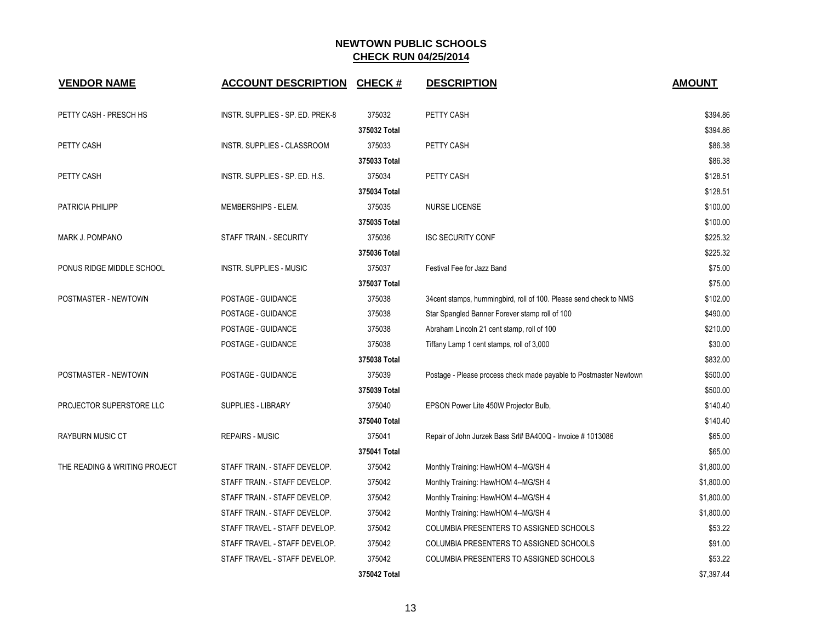| <b>VENDOR NAME</b>            | <b>ACCOUNT DESCRIPTION</b>       | <b>CHECK#</b> | <b>DESCRIPTION</b>                                                | <b>AMOUNT</b> |
|-------------------------------|----------------------------------|---------------|-------------------------------------------------------------------|---------------|
| PETTY CASH - PRESCH HS        | INSTR. SUPPLIES - SP. ED. PREK-8 | 375032        | PETTY CASH                                                        | \$394.86      |
|                               |                                  | 375032 Total  |                                                                   | \$394.86      |
| PETTY CASH                    | INSTR. SUPPLIES - CLASSROOM      | 375033        | PETTY CASH                                                        | \$86.38       |
|                               |                                  | 375033 Total  |                                                                   | \$86.38       |
| PETTY CASH                    | INSTR. SUPPLIES - SP. ED. H.S.   | 375034        | PETTY CASH                                                        | \$128.51      |
|                               |                                  | 375034 Total  |                                                                   | \$128.51      |
| <b>PATRICIA PHILIPP</b>       | MEMBERSHIPS - ELEM.              | 375035        | <b>NURSE LICENSE</b>                                              | \$100.00      |
|                               |                                  | 375035 Total  |                                                                   | \$100.00      |
| MARK J. POMPANO               | STAFF TRAIN. - SECURITY          | 375036        | <b>ISC SECURITY CONF</b>                                          | \$225.32      |
|                               |                                  | 375036 Total  |                                                                   | \$225.32      |
| PONUS RIDGE MIDDLE SCHOOL     | <b>INSTR. SUPPLIES - MUSIC</b>   | 375037        | Festival Fee for Jazz Band                                        | \$75.00       |
|                               |                                  | 375037 Total  |                                                                   | \$75.00       |
| POSTMASTER - NEWTOWN          | POSTAGE - GUIDANCE               | 375038        | 34cent stamps, hummingbird, roll of 100. Please send check to NMS | \$102.00      |
|                               | POSTAGE - GUIDANCE               | 375038        | Star Spangled Banner Forever stamp roll of 100                    | \$490.00      |
|                               | POSTAGE - GUIDANCE               | 375038        | Abraham Lincoln 21 cent stamp, roll of 100                        | \$210.00      |
|                               | POSTAGE - GUIDANCE               | 375038        | Tiffany Lamp 1 cent stamps, roll of 3,000                         | \$30.00       |
|                               |                                  | 375038 Total  |                                                                   | \$832.00      |
| POSTMASTER - NEWTOWN          | POSTAGE - GUIDANCE               | 375039        | Postage - Please process check made payable to Postmaster Newtown | \$500.00      |
|                               |                                  | 375039 Total  |                                                                   | \$500.00      |
| PROJECTOR SUPERSTORE LLC      | <b>SUPPLIES - LIBRARY</b>        | 375040        | EPSON Power Lite 450W Projector Bulb,                             | \$140.40      |
|                               |                                  | 375040 Total  |                                                                   | \$140.40      |
| <b>RAYBURN MUSIC CT</b>       | <b>REPAIRS - MUSIC</b>           | 375041        | Repair of John Jurzek Bass Srl# BA400Q - Invoice # 1013086        | \$65.00       |
|                               |                                  | 375041 Total  |                                                                   | \$65.00       |
| THE READING & WRITING PROJECT | STAFF TRAIN. - STAFF DEVELOP.    | 375042        | Monthly Training: Haw/HOM 4--MG/SH 4                              | \$1,800.00    |
|                               | STAFF TRAIN. - STAFF DEVELOP.    | 375042        | Monthly Training: Haw/HOM 4--MG/SH 4                              | \$1,800.00    |
|                               | STAFF TRAIN. - STAFF DEVELOP.    | 375042        | Monthly Training: Haw/HOM 4--MG/SH 4                              | \$1,800.00    |
|                               | STAFF TRAIN. - STAFF DEVELOP.    | 375042        | Monthly Training: Haw/HOM 4--MG/SH 4                              | \$1,800.00    |
|                               | STAFF TRAVEL - STAFF DEVELOP.    | 375042        | COLUMBIA PRESENTERS TO ASSIGNED SCHOOLS                           | \$53.22       |
|                               | STAFF TRAVEL - STAFF DEVELOP.    | 375042        | COLUMBIA PRESENTERS TO ASSIGNED SCHOOLS                           | \$91.00       |
|                               | STAFF TRAVEL - STAFF DEVELOP.    | 375042        | COLUMBIA PRESENTERS TO ASSIGNED SCHOOLS                           | \$53.22       |
|                               |                                  | 375042 Total  |                                                                   | \$7,397.44    |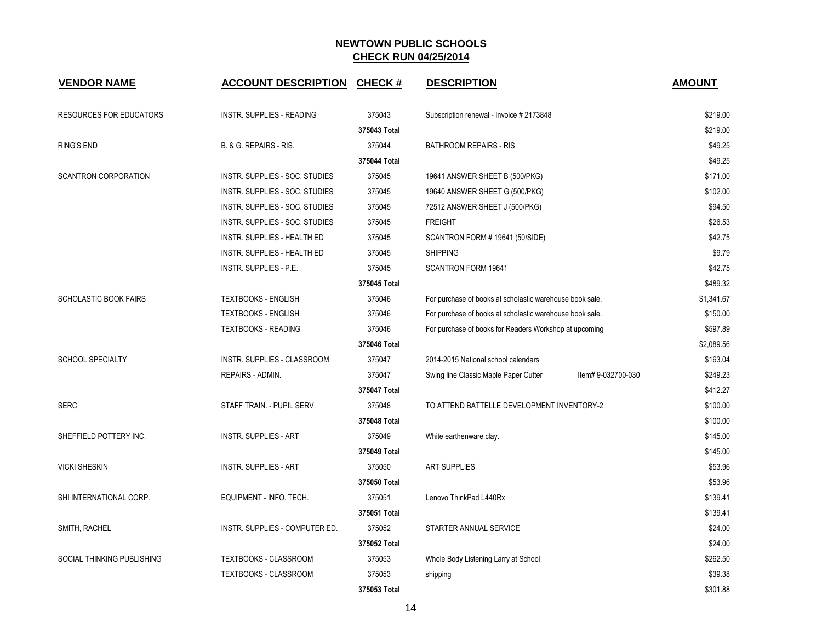| <b>VENDOR NAME</b>             | <b>ACCOUNT DESCRIPTION</b>         | <b>CHECK#</b> | <b>DESCRIPTION</b>                                          | <b>AMOUNT</b> |
|--------------------------------|------------------------------------|---------------|-------------------------------------------------------------|---------------|
| <b>RESOURCES FOR EDUCATORS</b> | <b>INSTR. SUPPLIES - READING</b>   | 375043        | Subscription renewal - Invoice # 2173848                    | \$219.00      |
|                                |                                    | 375043 Total  |                                                             | \$219.00      |
| <b>RING'S END</b>              | B. & G. REPAIRS - RIS.             | 375044        | <b>BATHROOM REPAIRS - RIS</b>                               | \$49.25       |
|                                |                                    | 375044 Total  |                                                             | \$49.25       |
| <b>SCANTRON CORPORATION</b>    | INSTR. SUPPLIES - SOC. STUDIES     | 375045        | 19641 ANSWER SHEET B (500/PKG)                              | \$171.00      |
|                                | INSTR. SUPPLIES - SOC. STUDIES     | 375045        | 19640 ANSWER SHEET G (500/PKG)                              | \$102.00      |
|                                | INSTR. SUPPLIES - SOC. STUDIES     | 375045        | 72512 ANSWER SHEET J (500/PKG)                              | \$94.50       |
|                                | INSTR. SUPPLIES - SOC. STUDIES     | 375045        | <b>FREIGHT</b>                                              | \$26.53       |
|                                | <b>INSTR. SUPPLIES - HEALTH ED</b> | 375045        | SCANTRON FORM # 19641 (50/SIDE)                             | \$42.75       |
|                                | INSTR. SUPPLIES - HEALTH ED        | 375045        | <b>SHIPPING</b>                                             | \$9.79        |
|                                | INSTR. SUPPLIES - P.E.             | 375045        | <b>SCANTRON FORM 19641</b>                                  | \$42.75       |
|                                |                                    | 375045 Total  |                                                             | \$489.32      |
| <b>SCHOLASTIC BOOK FAIRS</b>   | <b>TEXTBOOKS - ENGLISH</b>         | 375046        | For purchase of books at scholastic warehouse book sale.    | \$1,341.67    |
|                                | <b>TEXTBOOKS - ENGLISH</b>         | 375046        | For purchase of books at scholastic warehouse book sale.    | \$150.00      |
|                                | <b>TEXTBOOKS - READING</b>         | 375046        | For purchase of books for Readers Workshop at upcoming      | \$597.89      |
|                                |                                    | 375046 Total  |                                                             | \$2,089.56    |
| <b>SCHOOL SPECIALTY</b>        | INSTR. SUPPLIES - CLASSROOM        | 375047        | 2014-2015 National school calendars                         | \$163.04      |
|                                | REPAIRS - ADMIN.                   | 375047        | Swing line Classic Maple Paper Cutter<br>Item# 9-032700-030 | \$249.23      |
|                                |                                    | 375047 Total  |                                                             | \$412.27      |
| <b>SERC</b>                    | STAFF TRAIN. - PUPIL SERV.         | 375048        | TO ATTEND BATTELLE DEVELOPMENT INVENTORY-2                  | \$100.00      |
|                                |                                    | 375048 Total  |                                                             | \$100.00      |
| SHEFFIELD POTTERY INC.         | <b>INSTR. SUPPLIES - ART</b>       | 375049        | White earthenware clay.                                     | \$145.00      |
|                                |                                    | 375049 Total  |                                                             | \$145.00      |
| <b>VICKI SHESKIN</b>           | <b>INSTR. SUPPLIES - ART</b>       | 375050        | <b>ART SUPPLIES</b>                                         | \$53.96       |
|                                |                                    | 375050 Total  |                                                             | \$53.96       |
| SHI INTERNATIONAL CORP.        | EQUIPMENT - INFO. TECH.            | 375051        | Lenovo ThinkPad L440Rx                                      | \$139.41      |
|                                |                                    | 375051 Total  |                                                             | \$139.41      |
| SMITH, RACHEL                  | INSTR. SUPPLIES - COMPUTER ED.     | 375052        | STARTER ANNUAL SERVICE                                      | \$24.00       |
|                                |                                    | 375052 Total  |                                                             | \$24.00       |
| SOCIAL THINKING PUBLISHING     | TEXTBOOKS - CLASSROOM              | 375053        | Whole Body Listening Larry at School                        | \$262.50      |
|                                | <b>TEXTBOOKS - CLASSROOM</b>       | 375053        | shipping                                                    | \$39.38       |
|                                |                                    | 375053 Total  |                                                             | \$301.88      |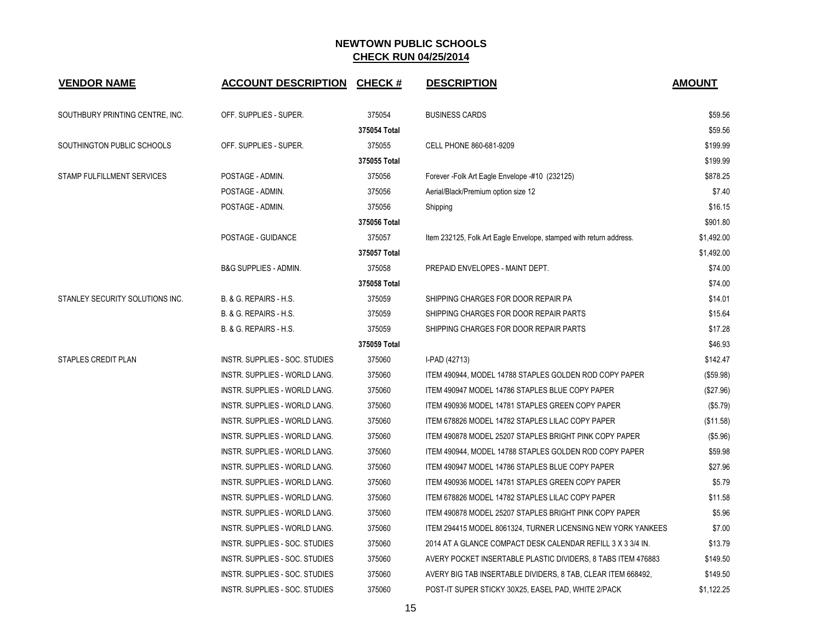| <b>VENDOR NAME</b>              | <b>ACCOUNT DESCRIPTION CHECK #</b> |              | <b>DESCRIPTION</b>                                                 | <b>AMOUNT</b> |
|---------------------------------|------------------------------------|--------------|--------------------------------------------------------------------|---------------|
| SOUTHBURY PRINTING CENTRE, INC. | OFF. SUPPLIES - SUPER.             | 375054       | <b>BUSINESS CARDS</b>                                              | \$59.56       |
|                                 |                                    | 375054 Total |                                                                    | \$59.56       |
| SOUTHINGTON PUBLIC SCHOOLS      | OFF. SUPPLIES - SUPER.             | 375055       | CELL PHONE 860-681-9209                                            | \$199.99      |
|                                 |                                    | 375055 Total |                                                                    | \$199.99      |
| STAMP FULFILLMENT SERVICES      | POSTAGE - ADMIN.                   | 375056       | Forever - Folk Art Eagle Envelope - #10 (232125)                   | \$878.25      |
|                                 | POSTAGE - ADMIN.                   | 375056       | Aerial/Black/Premium option size 12                                | \$7.40        |
|                                 | POSTAGE - ADMIN.                   | 375056       | Shipping                                                           | \$16.15       |
|                                 |                                    | 375056 Total |                                                                    | \$901.80      |
|                                 | POSTAGE - GUIDANCE                 | 375057       | Item 232125, Folk Art Eagle Envelope, stamped with return address. | \$1,492.00    |
|                                 |                                    | 375057 Total |                                                                    | \$1,492.00    |
|                                 | <b>B&amp;G SUPPLIES - ADMIN.</b>   | 375058       | PREPAID ENVELOPES - MAINT DEPT.                                    | \$74.00       |
|                                 |                                    | 375058 Total |                                                                    | \$74.00       |
| STANLEY SECURITY SOLUTIONS INC. | B. & G. REPAIRS - H.S.             | 375059       | SHIPPING CHARGES FOR DOOR REPAIR PA                                | \$14.01       |
|                                 | B. & G. REPAIRS - H.S.             | 375059       | SHIPPING CHARGES FOR DOOR REPAIR PARTS                             | \$15.64       |
|                                 | B. & G. REPAIRS - H.S.             | 375059       | SHIPPING CHARGES FOR DOOR REPAIR PARTS                             | \$17.28       |
|                                 |                                    | 375059 Total |                                                                    | \$46.93       |
| STAPLES CREDIT PLAN             | INSTR. SUPPLIES - SOC. STUDIES     | 375060       | I-PAD (42713)                                                      | \$142.47      |
|                                 | INSTR. SUPPLIES - WORLD LANG.      | 375060       | ITEM 490944, MODEL 14788 STAPLES GOLDEN ROD COPY PAPER             | (\$59.98)     |
|                                 | INSTR. SUPPLIES - WORLD LANG.      | 375060       | ITEM 490947 MODEL 14786 STAPLES BLUE COPY PAPER                    | (\$27.96)     |
|                                 | INSTR. SUPPLIES - WORLD LANG.      | 375060       | ITEM 490936 MODEL 14781 STAPLES GREEN COPY PAPER                   | (\$5.79)      |
|                                 | INSTR. SUPPLIES - WORLD LANG.      | 375060       | ITEM 678826 MODEL 14782 STAPLES LILAC COPY PAPER                   | (\$11.58)     |
|                                 | INSTR. SUPPLIES - WORLD LANG.      | 375060       | ITEM 490878 MODEL 25207 STAPLES BRIGHT PINK COPY PAPER             | (\$5.96)      |
|                                 | INSTR. SUPPLIES - WORLD LANG.      | 375060       | ITEM 490944, MODEL 14788 STAPLES GOLDEN ROD COPY PAPER             | \$59.98       |
|                                 | INSTR. SUPPLIES - WORLD LANG.      | 375060       | ITEM 490947 MODEL 14786 STAPLES BLUE COPY PAPER                    | \$27.96       |
|                                 | INSTR. SUPPLIES - WORLD LANG.      | 375060       | ITEM 490936 MODEL 14781 STAPLES GREEN COPY PAPER                   | \$5.79        |
|                                 | INSTR. SUPPLIES - WORLD LANG.      | 375060       | ITEM 678826 MODEL 14782 STAPLES LILAC COPY PAPER                   | \$11.58       |
|                                 | INSTR. SUPPLIES - WORLD LANG.      | 375060       | ITEM 490878 MODEL 25207 STAPLES BRIGHT PINK COPY PAPER             | \$5.96        |
|                                 | INSTR. SUPPLIES - WORLD LANG.      | 375060       | ITEM 294415 MODEL 8061324, TURNER LICENSING NEW YORK YANKEES       | \$7.00        |
|                                 | INSTR. SUPPLIES - SOC. STUDIES     | 375060       | 2014 AT A GLANCE COMPACT DESK CALENDAR REFILL 3 X 3 3/4 IN.        | \$13.79       |
|                                 | INSTR. SUPPLIES - SOC. STUDIES     | 375060       | AVERY POCKET INSERTABLE PLASTIC DIVIDERS, 8 TABS ITEM 476883       | \$149.50      |
|                                 | INSTR. SUPPLIES - SOC. STUDIES     | 375060       | AVERY BIG TAB INSERTABLE DIVIDERS, 8 TAB, CLEAR ITEM 668492,       | \$149.50      |
|                                 | INSTR. SUPPLIES - SOC. STUDIES     | 375060       | POST-IT SUPER STICKY 30X25, EASEL PAD, WHITE 2/PACK                | \$1,122.25    |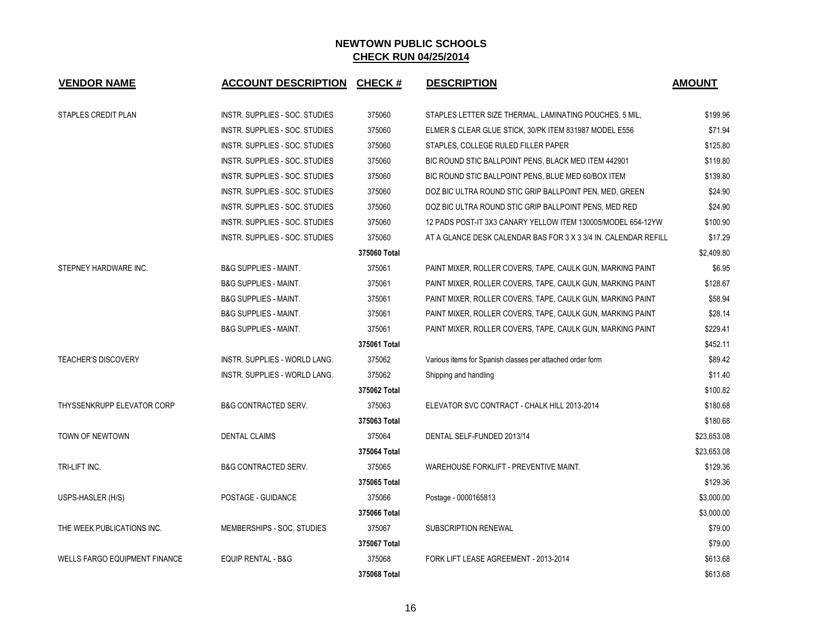| <b>VENDOR NAME</b>                   | <b>ACCOUNT DESCRIPTION</b>       | <b>CHECK#</b> | <b>DESCRIPTION</b>                                              | <b>AMOUNT</b> |
|--------------------------------------|----------------------------------|---------------|-----------------------------------------------------------------|---------------|
| STAPLES CREDIT PLAN                  | INSTR. SUPPLIES - SOC. STUDIES   | 375060        | STAPLES LETTER SIZE THERMAL, LAMINATING POUCHES, 5 MIL,         | \$199.96      |
|                                      | INSTR. SUPPLIES - SOC. STUDIES   | 375060        | ELMER S CLEAR GLUE STICK, 30/PK ITEM 831987 MODEL E556          | \$71.94       |
|                                      | INSTR. SUPPLIES - SOC. STUDIES   | 375060        | STAPLES, COLLEGE RULED FILLER PAPER                             | \$125.80      |
|                                      | INSTR. SUPPLIES - SOC. STUDIES   | 375060        | BIC ROUND STIC BALLPOINT PENS, BLACK MED ITEM 442901            | \$119.80      |
|                                      | INSTR. SUPPLIES - SOC. STUDIES   | 375060        | BIC ROUND STIC BALLPOINT PENS, BLUE MED 60/BOX ITEM             | \$139.80      |
|                                      | INSTR. SUPPLIES - SOC. STUDIES   | 375060        | DOZ BIC ULTRA ROUND STIC GRIP BALLPOINT PEN, MED, GREEN         | \$24.90       |
|                                      | INSTR. SUPPLIES - SOC. STUDIES   | 375060        | DOZ BIC ULTRA ROUND STIC GRIP BALLPOINT PENS, MED RED           | \$24.90       |
|                                      | INSTR. SUPPLIES - SOC. STUDIES   | 375060        | 12 PADS POST-IT 3X3 CANARY YELLOW ITEM 130005/MODEL 654-12YW    | \$100.90      |
|                                      | INSTR. SUPPLIES - SOC. STUDIES   | 375060        | AT A GLANCE DESK CALENDAR BAS FOR 3 X 3 3/4 IN. CALENDAR REFILL | \$17.29       |
|                                      |                                  | 375060 Total  |                                                                 | \$2.409.80    |
| STEPNEY HARDWARE INC.                | <b>B&amp;G SUPPLIES - MAINT.</b> | 375061        | PAINT MIXER, ROLLER COVERS, TAPE, CAULK GUN, MARKING PAINT      | \$6.95        |
|                                      | <b>B&amp;G SUPPLIES - MAINT.</b> | 375061        | PAINT MIXER, ROLLER COVERS, TAPE, CAULK GUN, MARKING PAINT      | \$128.67      |
|                                      | <b>B&amp;G SUPPLIES - MAINT.</b> | 375061        | PAINT MIXER, ROLLER COVERS, TAPE, CAULK GUN, MARKING PAINT      | \$58.94       |
|                                      | <b>B&amp;G SUPPLIES - MAINT.</b> | 375061        | PAINT MIXER, ROLLER COVERS, TAPE, CAULK GUN, MARKING PAINT      | \$28.14       |
|                                      | <b>B&amp;G SUPPLIES - MAINT.</b> | 375061        | PAINT MIXER, ROLLER COVERS, TAPE, CAULK GUN, MARKING PAINT      | \$229.41      |
|                                      |                                  | 375061 Total  |                                                                 | \$452.11      |
| <b>TEACHER'S DISCOVERY</b>           | INSTR. SUPPLIES - WORLD LANG.    | 375062        | Various items for Spanish classes per attached order form       | \$89.42       |
|                                      | INSTR. SUPPLIES - WORLD LANG.    | 375062        | Shipping and handling                                           | \$11.40       |
|                                      |                                  | 375062 Total  |                                                                 | \$100.82      |
| THYSSENKRUPP ELEVATOR CORP           | <b>B&amp;G CONTRACTED SERV.</b>  | 375063        | ELEVATOR SVC CONTRACT - CHALK HILL 2013-2014                    | \$180.68      |
|                                      |                                  | 375063 Total  |                                                                 | \$180.68      |
| TOWN OF NEWTOWN                      | <b>DENTAL CLAIMS</b>             | 375064        | DENTAL SELF-FUNDED 2013/14                                      | \$23,653.08   |
|                                      |                                  | 375064 Total  |                                                                 | \$23,653.08   |
| TRI-LIFT INC.                        | <b>B&amp;G CONTRACTED SERV.</b>  | 375065        | WAREHOUSE FORKLIFT - PREVENTIVE MAINT.                          | \$129.36      |
|                                      |                                  | 375065 Total  |                                                                 | \$129.36      |
| USPS-HASLER (H/S)                    | POSTAGE - GUIDANCE               | 375066        | Postage - 0000165813                                            | \$3,000.00    |
|                                      |                                  | 375066 Total  |                                                                 | \$3,000.00    |
| THE WEEK PUBLICATIONS INC.           | MEMBERSHIPS - SOC. STUDIES       | 375067        | <b>SUBSCRIPTION RENEWAL</b>                                     | \$79.00       |
|                                      |                                  | 375067 Total  |                                                                 | \$79.00       |
| <b>WELLS FARGO EQUIPMENT FINANCE</b> | <b>EQUIP RENTAL - B&amp;G</b>    | 375068        | FORK LIFT LEASE AGREEMENT - 2013-2014                           | \$613.68      |
|                                      |                                  | 375068 Total  |                                                                 | \$613.68      |